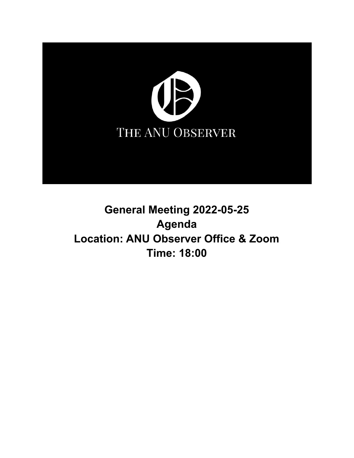

# **General Meeting 2022-05-25 Agenda Location: ANU Observer Office & Zoom Time: 18:00**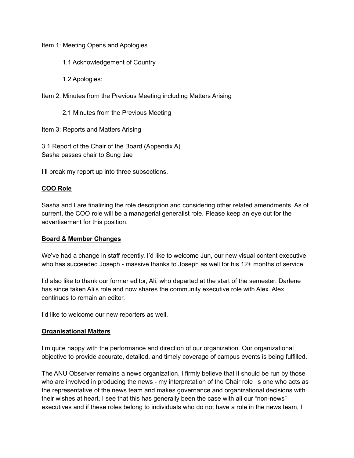Item 1: Meeting Opens and Apologies

- 1.1 Acknowledgement of Country
- 1.2 Apologies:
- Item 2: Minutes from the Previous Meeting including Matters Arising
	- 2.1 Minutes from the Previous Meeting

Item 3: Reports and Matters Arising

3.1 Report of the Chair of the Board (Appendix A) Sasha passes chair to Sung Jae

I'll break my report up into three subsections.

## **COO Role**

Sasha and I are finalizing the role description and considering other related amendments. As of current, the COO role will be a managerial generalist role. Please keep an eye out for the advertisement for this position.

#### **Board & Member Changes**

We've had a change in staff recently. I'd like to welcome Jun, our new visual content executive who has succeeded Joseph - massive thanks to Joseph as well for his 12+ months of service.

I'd also like to thank our former editor, Ali, who departed at the start of the semester. Darlene has since taken Ali's role and now shares the community executive role with Alex. Alex continues to remain an editor.

I'd like to welcome our new reporters as well.

#### **Organisational Matters**

I'm quite happy with the performance and direction of our organization. Our organizational objective to provide accurate, detailed, and timely coverage of campus events is being fulfilled.

The ANU Observer remains a news organization. I firmly believe that it should be run by those who are involved in producing the news - my interpretation of the Chair role is one who acts as the representative of the news team and makes governance and organizational decisions with their wishes at heart. I see that this has generally been the case with all our "non-news" executives and if these roles belong to individuals who do not have a role in the news team, I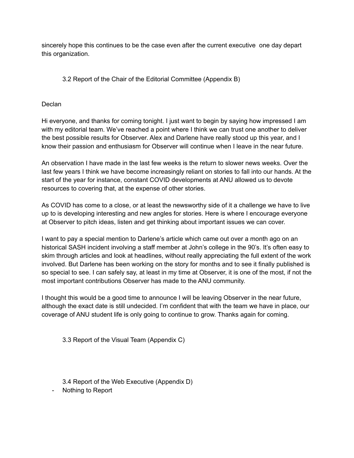sincerely hope this continues to be the case even after the current executive one day depart this organization.

# 3.2 Report of the Chair of the Editorial Committee (Appendix B)

## Declan

Hi everyone, and thanks for coming tonight. I just want to begin by saying how impressed I am with my editorial team. We've reached a point where I think we can trust one another to deliver the best possible results for Observer. Alex and Darlene have really stood up this year, and I know their passion and enthusiasm for Observer will continue when I leave in the near future.

An observation I have made in the last few weeks is the return to slower news weeks. Over the last few years I think we have become increasingly reliant on stories to fall into our hands. At the start of the year for instance, constant COVID developments at ANU allowed us to devote resources to covering that, at the expense of other stories.

As COVID has come to a close, or at least the newsworthy side of it a challenge we have to live up to is developing interesting and new angles for stories. Here is where I encourage everyone at Observer to pitch ideas, listen and get thinking about important issues we can cover.

I want to pay a special mention to Darlene's article which came out over a month ago on an historical SASH incident involving a staff member at John's college in the 90's. It's often easy to skim through articles and look at headlines, without really appreciating the full extent of the work involved. But Darlene has been working on the story for months and to see it finally published is so special to see. I can safely say, at least in my time at Observer, it is one of the most, if not the most important contributions Observer has made to the ANU community.

I thought this would be a good time to announce I will be leaving Observer in the near future, although the exact date is still undecided. I'm confident that with the team we have in place, our coverage of ANU student life is only going to continue to grow. Thanks again for coming.

3.3 Report of the Visual Team (Appendix C)

3.4 Report of the Web Executive (Appendix D)

- Nothing to Report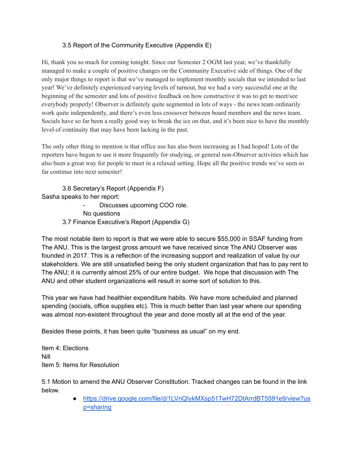# 3.5 Report of the Community Executive (Appendix E)

Hi, thank you so much for coming tonight. Since our Semester 2 OGM last year, we've thankfully managed to make a couple of positive changes on the Community Executive side of things. One of the only major things to report is that we've managed to implement monthly socials that we intended to last year! We've definitely experienced varying levels of turnout, but we had a very successful one at the beginning of the semester and lots of positive feedback on how constructive it was to get to meet/see everybody properly! Observer is definitely quite segmented in lots of ways - the news team ordinarily work quite independently, and there's even less crossover between board members and the news team. Socials have so far been a really good way to break the ice on that, and it's been nice to have the monthly level of continuity that may have been lacking in the past.

The only other thing to mention is that office use has also been increasing as I had hoped! Lots of the reporters have begun to use it more frequently for studying, or general non-Observer activities which has also been a great way for people to meet in a relaxed setting. Hope all the positive trends we've seen so far continue into next semester!

3.6 Secretary's Report (Appendix F) Sasha speaks to her report: Discusses upcoming COO role.

No questions 3.7 Finance Executive's Report (Appendix G)

The most notable item to report is that we were able to secure \$55,000 in SSAF funding from The ANU. This is the largest gross amount we have received since The ANU Observer was founded in 2017. This is a reflection of the increasing support and realization of value by our stakeholders. We are still unsatisfied being the only student organization that has to pay rent to The ANU; it is currently almost 25% of our entire budget. We hope that discussion with The ANU and other student organizations will result in some sort of solution to this.

This year we have had healthier expenditure habits. We have more scheduled and planned spending (socials, office supplies etc). This is much better than last year where our spending was almost non-existent throughout the year and done mostly all at the end of the year.

Besides these points, it has been quite "business as usual" on my end.

Item 4: Elections Nill Item 5: Items for Resolution

5.1 Motion to amend the ANU Observer Constitution. Tracked changes can be found in the link below.

> ● [https://drive.google.com/file/d/1LVnQIykMXsp51TwH72DtArrdBT5591e9/view?us](https://drive.google.com/file/d/1LVnQIykMXsp51TwH72DtArrdBT5591e9/view?usp=sharing) [p=sharing](https://drive.google.com/file/d/1LVnQIykMXsp51TwH72DtArrdBT5591e9/view?usp=sharing)